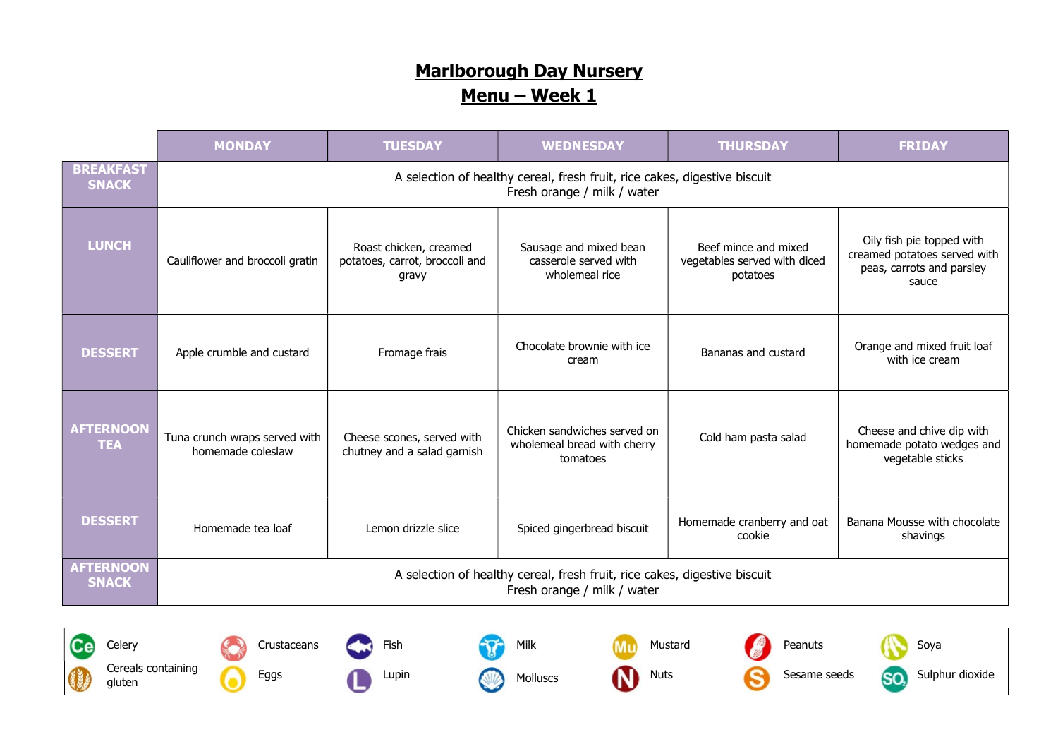|                                  | <b>MONDAY</b>                                                                                            | <b>TUESDAY</b>                                                    | <b>WEDNESDAY</b>                                                        | <b>THURSDAY</b>                                                  | <b>FRIDAY</b>                                                                                   |  |
|----------------------------------|----------------------------------------------------------------------------------------------------------|-------------------------------------------------------------------|-------------------------------------------------------------------------|------------------------------------------------------------------|-------------------------------------------------------------------------------------------------|--|
| <b>BREAKFAST</b><br><b>SNACK</b> | A selection of healthy cereal, fresh fruit, rice cakes, digestive biscuit<br>Fresh orange / milk / water |                                                                   |                                                                         |                                                                  |                                                                                                 |  |
| <b>LUNCH</b>                     | Cauliflower and broccoli gratin                                                                          | Roast chicken, creamed<br>potatoes, carrot, broccoli and<br>gravy | Sausage and mixed bean<br>casserole served with<br>wholemeal rice       | Beef mince and mixed<br>vegetables served with diced<br>potatoes | Oily fish pie topped with<br>creamed potatoes served with<br>peas, carrots and parsley<br>sauce |  |
| <b>DESSERT</b>                   | Apple crumble and custard                                                                                | Fromage frais                                                     | Chocolate brownie with ice<br>cream                                     | Bananas and custard                                              | Orange and mixed fruit loaf<br>with ice cream                                                   |  |
| <b>AFTERNOON</b><br><b>TEA</b>   | Tuna crunch wraps served with<br>homemade coleslaw                                                       | Cheese scones, served with<br>chutney and a salad garnish         | Chicken sandwiches served on<br>wholemeal bread with cherry<br>tomatoes | Cold ham pasta salad                                             | Cheese and chive dip with<br>homemade potato wedges and<br>vegetable sticks                     |  |
| <b>DESSERT</b>                   | Homemade tea loaf                                                                                        | Lemon drizzle slice                                               | Spiced gingerbread biscuit                                              | Homemade cranberry and oat<br>cookie                             | Banana Mousse with chocolate<br>shavings                                                        |  |
| <b>AFTERNOON</b><br><b>SNACK</b> | A selection of healthy cereal, fresh fruit, rice cakes, digestive biscuit<br>Fresh orange / milk / water |                                                                   |                                                                         |                                                                  |                                                                                                 |  |

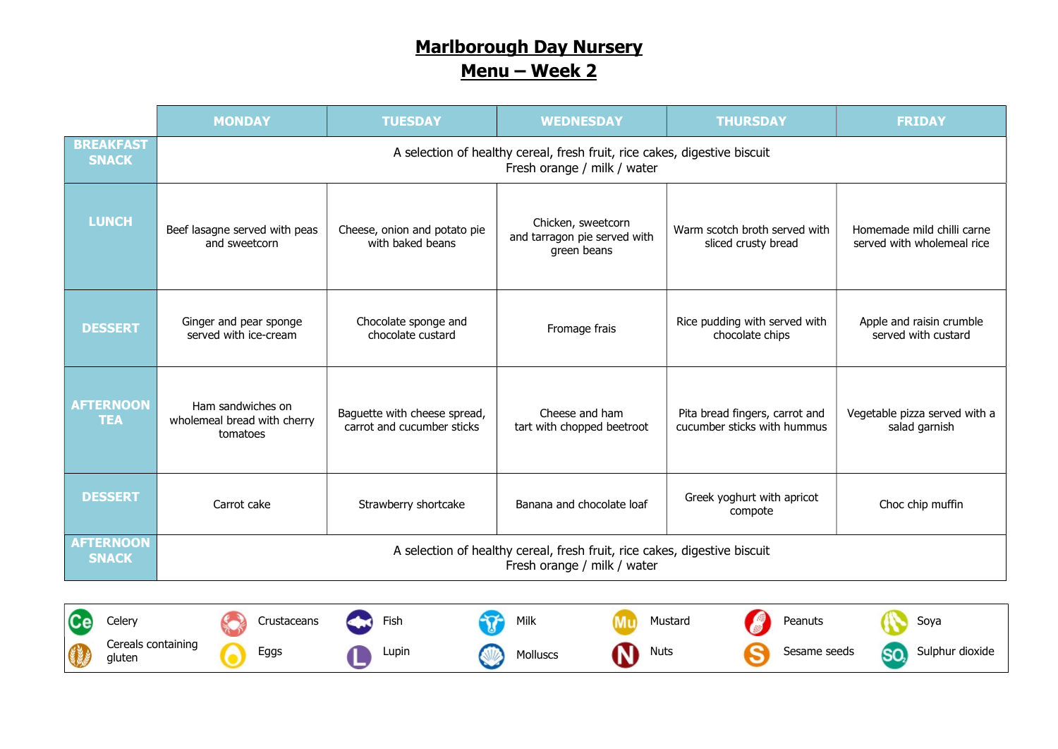|                                  | <b>MONDAY</b>                                                                                            | <b>TUESDAY</b>                                             | <b>WEDNESDAY</b>                                                  | <b>THURSDAY</b>                                               | <b>FRIDAY</b>                                            |  |
|----------------------------------|----------------------------------------------------------------------------------------------------------|------------------------------------------------------------|-------------------------------------------------------------------|---------------------------------------------------------------|----------------------------------------------------------|--|
| <b>BREAKFAST</b><br><b>SNACK</b> | A selection of healthy cereal, fresh fruit, rice cakes, digestive biscuit<br>Fresh orange / milk / water |                                                            |                                                                   |                                                               |                                                          |  |
| <b>LUNCH</b>                     | Beef lasagne served with peas<br>and sweetcorn                                                           | Cheese, onion and potato pie<br>with baked beans           | Chicken, sweetcorn<br>and tarragon pie served with<br>green beans | Warm scotch broth served with<br>sliced crusty bread          | Homemade mild chilli carne<br>served with wholemeal rice |  |
| <b>DESSERT</b>                   | Ginger and pear sponge<br>served with ice-cream                                                          | Chocolate sponge and<br>chocolate custard                  | Fromage frais                                                     | Rice pudding with served with<br>chocolate chips              | Apple and raisin crumble<br>served with custard          |  |
| <b>AFTERNOON</b><br><b>TEA</b>   | Ham sandwiches on<br>wholemeal bread with cherry<br>tomatoes                                             | Baguette with cheese spread,<br>carrot and cucumber sticks | Cheese and ham<br>tart with chopped beetroot                      | Pita bread fingers, carrot and<br>cucumber sticks with hummus | Vegetable pizza served with a<br>salad garnish           |  |
| <b>DESSERT</b>                   | Carrot cake                                                                                              | Strawberry shortcake                                       | Banana and chocolate loaf                                         | Greek yoghurt with apricot<br>compote                         | Choc chip muffin                                         |  |
| <b>AFTERNOON</b><br><b>SNACK</b> | A selection of healthy cereal, fresh fruit, rice cakes, digestive biscuit<br>Fresh orange / milk / water |                                                            |                                                                   |                                                               |                                                          |  |

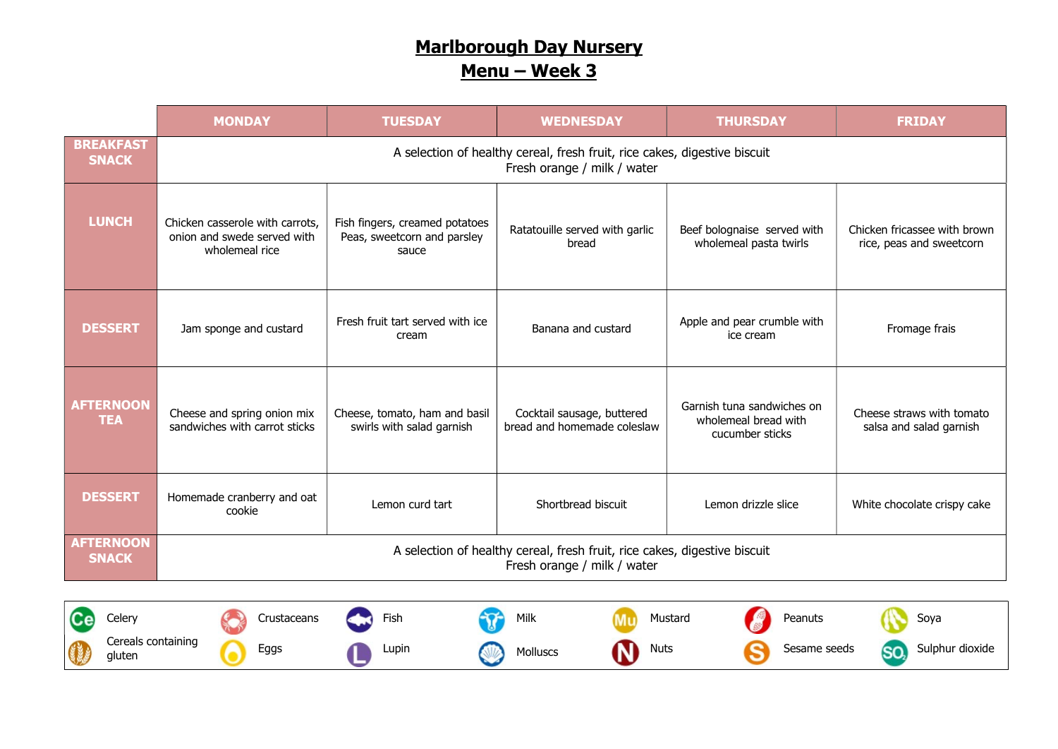|                                  | <b>MONDAY</b>                                                                                            | <b>TUESDAY</b>                                                         | <b>WEDNESDAY</b>                                          | <b>THURSDAY</b>                                                       | <b>FRIDAY</b>                                            |  |
|----------------------------------|----------------------------------------------------------------------------------------------------------|------------------------------------------------------------------------|-----------------------------------------------------------|-----------------------------------------------------------------------|----------------------------------------------------------|--|
| <b>BREAKFAST</b><br><b>SNACK</b> | A selection of healthy cereal, fresh fruit, rice cakes, digestive biscuit<br>Fresh orange / milk / water |                                                                        |                                                           |                                                                       |                                                          |  |
| <b>LUNCH</b>                     | Chicken casserole with carrots,<br>onion and swede served with<br>wholemeal rice                         | Fish fingers, creamed potatoes<br>Peas, sweetcorn and parsley<br>sauce | Ratatouille served with garlic<br>bread                   | Beef bolognaise served with<br>wholemeal pasta twirls                 | Chicken fricassee with brown<br>rice, peas and sweetcorn |  |
| <b>DESSERT</b>                   | Jam sponge and custard                                                                                   | Fresh fruit tart served with ice<br>cream                              | Banana and custard                                        | Apple and pear crumble with<br>ice cream                              | Fromage frais                                            |  |
| <b>AFTERNOON</b><br><b>TEA</b>   | Cheese and spring onion mix<br>sandwiches with carrot sticks                                             | Cheese, tomato, ham and basil<br>swirls with salad garnish             | Cocktail sausage, buttered<br>bread and homemade coleslaw | Garnish tuna sandwiches on<br>wholemeal bread with<br>cucumber sticks | Cheese straws with tomato<br>salsa and salad garnish     |  |
| <b>DESSERT</b>                   | Homemade cranberry and oat<br>cookie                                                                     | Lemon curd tart                                                        | Shortbread biscuit                                        | Lemon drizzle slice                                                   | White chocolate crispy cake                              |  |
| <b>AFTERNOON</b><br><b>SNACK</b> | A selection of healthy cereal, fresh fruit, rice cakes, digestive biscuit<br>Fresh orange / milk / water |                                                                        |                                                           |                                                                       |                                                          |  |